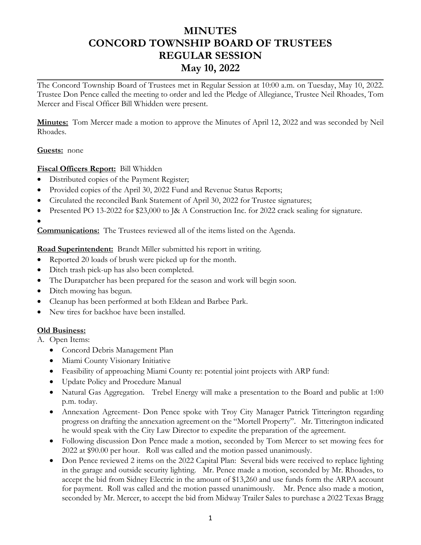# **MINUTES CONCORD TOWNSHIP BOARD OF TRUSTEES REGULAR SESSION May 10, 2022**

The Concord Township Board of Trustees met in Regular Session at 10:00 a.m. on Tuesday, May 10, 2022. Trustee Don Pence called the meeting to order and led the Pledge of Allegiance, Trustee Neil Rhoades, Tom Mercer and Fiscal Officer Bill Whidden were present.

**Minutes:** Tom Mercer made a motion to approve the Minutes of April 12, 2022 and was seconded by Neil Rhoades.

#### **Guests:** none

### **Fiscal Officers Report:** Bill Whidden

- Distributed copies of the Payment Register;
- Provided copies of the April 30, 2022 Fund and Revenue Status Reports;
- Circulated the reconciled Bank Statement of April 30, 2022 for Trustee signatures;
- Presented PO 13-2022 for \$23,000 to J& A Construction Inc. for 2022 crack sealing for signature.
- •

**Communications:** The Trustees reviewed all of the items listed on the Agenda.

**Road Superintendent:** Brandt Miller submitted his report in writing.

- Reported 20 loads of brush were picked up for the month.
- Ditch trash pick-up has also been completed.
- The Durapatcher has been prepared for the season and work will begin soon.
- Ditch mowing has begun.
- Cleanup has been performed at both Eldean and Barbee Park.
- New tires for backhoe have been installed.

### **Old Business:**

- A. Open Items:
	- Concord Debris Management Plan
	- Miami County Visionary Initiative
	- Feasibility of approaching Miami County re: potential joint projects with ARP fund:
	- Update Policy and Procedure Manual
	- Natural Gas Aggregation. Trebel Energy will make a presentation to the Board and public at 1:00 p.m. today.
	- Annexation Agreement- Don Pence spoke with Troy City Manager Patrick Titterington regarding progress on drafting the annexation agreement on the "Mortell Property". Mr. Titterington indicated he would speak with the City Law Director to expedite the preparation of the agreement.
	- Following discussion Don Pence made a motion, seconded by Tom Mercer to set mowing fees for 2022 at \$90.00 per hour. Roll was called and the motion passed unanimously.
	- Don Pence reviewed 2 items on the 2022 Capital Plan: Several bids were received to replace lighting in the garage and outside security lighting. Mr. Pence made a motion, seconded by Mr. Rhoades, to accept the bid from Sidney Electric in the amount of \$13,260 and use funds form the ARPA account for payment. Roll was called and the motion passed unanimously. Mr. Pence also made a motion, seconded by Mr. Mercer, to accept the bid from Midway Trailer Sales to purchase a 2022 Texas Bragg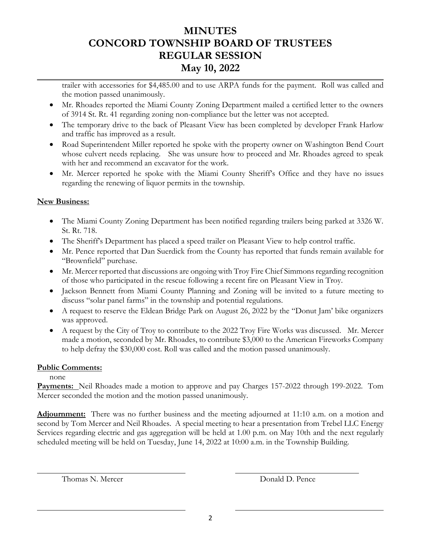# **MINUTES CONCORD TOWNSHIP BOARD OF TRUSTEES REGULAR SESSION May 10, 2022**

trailer with accessories for \$4,485.00 and to use ARPA funds for the payment. Roll was called and the motion passed unanimously.

- Mr. Rhoades reported the Miami County Zoning Department mailed a certified letter to the owners of 3914 St. Rt. 41 regarding zoning non-compliance but the letter was not accepted.
- The temporary drive to the back of Pleasant View has been completed by developer Frank Harlow and traffic has improved as a result.
- Road Superintendent Miller reported he spoke with the property owner on Washington Bend Court whose culvert needs replacing. She was unsure how to proceed and Mr. Rhoades agreed to speak with her and recommend an excavator for the work.
- Mr. Mercer reported he spoke with the Miami County Sheriff's Office and they have no issues regarding the renewing of liquor permits in the township.

### **New Business:**

- The Miami County Zoning Department has been notified regarding trailers being parked at 3326 W. St. Rt. 718.
- The Sheriff's Department has placed a speed trailer on Pleasant View to help control traffic.
- Mr. Pence reported that Dan Suerdick from the County has reported that funds remain available for "Brownfield" purchase.
- Mr. Mercer reported that discussions are ongoing with Troy Fire Chief Simmons regarding recognition of those who participated in the rescue following a recent fire on Pleasant View in Troy.
- Jackson Bennett from Miami County Planning and Zoning will be invited to a future meeting to discuss "solar panel farms" in the township and potential regulations.
- A request to reserve the Eldean Bridge Park on August 26, 2022 by the "Donut Jam' bike organizers" was approved.
- A request by the City of Troy to contribute to the 2022 Troy Fire Works was discussed. Mr. Mercer made a motion, seconded by Mr. Rhoades, to contribute \$3,000 to the American Fireworks Company to help defray the \$30,000 cost. Roll was called and the motion passed unanimously.

### **Public Comments:**

none

**Payments:** Neil Rhoades made a motion to approve and pay Charges 157-2022 through 199-2022. Tom Mercer seconded the motion and the motion passed unanimously.

**Adjournment:** There was no further business and the meeting adjourned at 11:10 a.m. on a motion and second by Tom Mercer and Neil Rhoades. A special meeting to hear a presentation from Trebel LLC Energy Services regarding electric and gas aggregation will be held at 1.00 p.m. on May 10th and the next regularly scheduled meeting will be held on Tuesday, June 14, 2022 at 10:00 a.m. in the Township Building.

Thomas N. Mercer **Donald D. Pence** 

 $\overline{a}$